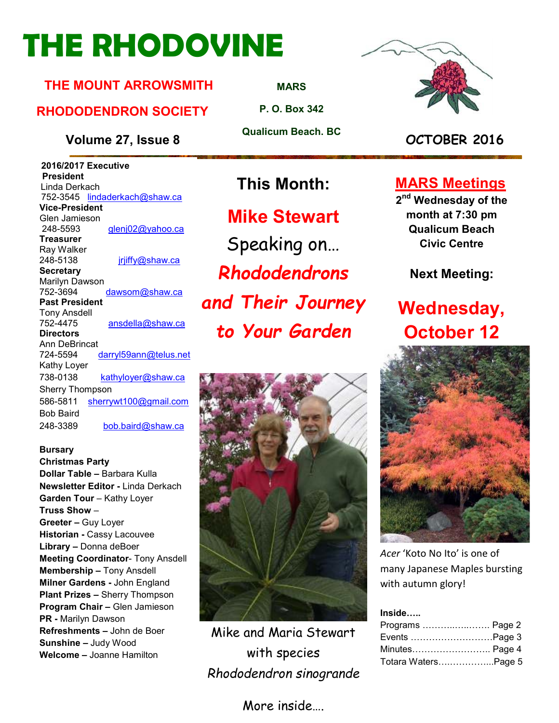# **THE RHODOVINE**

#### **THE MOUNT ARROWSMITH**

#### **RHODODENDRON SOCIETY**

**Volume 27, Issue 8 OCTOBER 2016**

 **2016/2017 Executive President**  Linda Derkach 752-3545 lindaderkach@shaw.ca **Vice-President**  Glen Jamieson 248-5593 glenj02@yahoo.ca **Treasurer**  Ray Walker 248-5138 **jriiffy@shaw.ca Secretary** Marilyn Dawson 752-3694 dawsom@shaw.ca **Past President**  Tony Ansdell 752-4475 ansdella@shaw.ca **Directors**  Ann DeBrincat 724-5594 darryl59ann@telus.net Kathy Loyer 738-0138 kathyloyer@shaw.ca Sherry Thompson 586-5811 sherrywt100@gmail.com Bob Baird 248-3389 bob.baird@shaw.ca

#### **Bursary Christmas Party**

**Dollar Table –** Barbara Kulla **Newsletter Editor -** Linda Derkach **Garden Tour** – Kathy Loyer **Truss Show** – **Greeter –** Guy Loyer **Historian -** Cassy Lacouvee **Library –** Donna deBoer **Meeting Coordinator**- Tony Ansdell **Membership –** Tony Ansdell **Milner Gardens -** John England **Plant Prizes –** Sherry Thompson **Program Chair –** Glen Jamieson **PR -** Marilyn Dawson **Refreshments –** John de Boer **Sunshine –** Judy Wood **Welcome –** Joanne Hamilton

**Mike Stewart** Speaking on… *Rhododendrons and Their Journey* 

*to Your Garden* 



Mike and Maria Stewart with species *Rhododendron sinogrande* 

#### More inside….



#### **MARS Meetings**

**2 nd Wednesday of the month at 7:30 pm Qualicum Beach Civic Centre** 

**Next Meeting:** 

## **Wednesday, October 12**



*Acer* 'Koto No Ito' is one of many Japanese Maples bursting with autumn glory!

**Inside…..** 

| Programs  Page 2    |  |
|---------------------|--|
| Events Page 3       |  |
| Minutes Page 4      |  |
| Totara WatersPage 5 |  |

**MARS**

**P. O. Box 342** 

**Qualicum Beach. BC** 

**This Month:**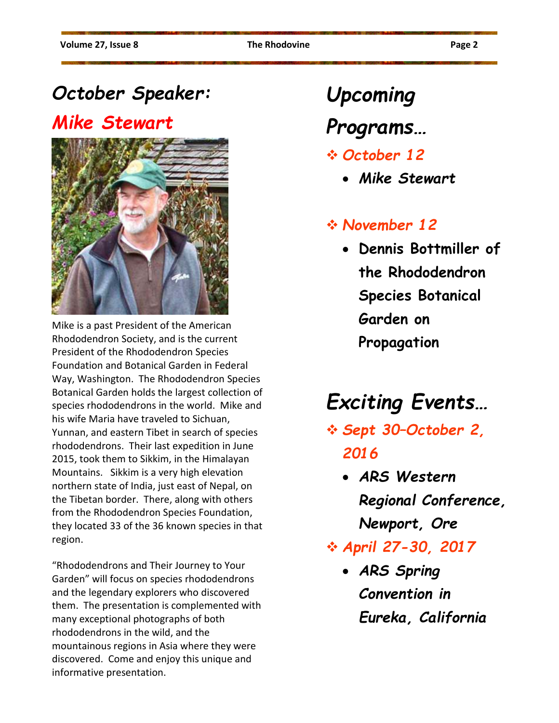## *October Speaker:*

## *Mike Stewart*



Mike is a past President of the American Rhododendron Society, and is the current President of the Rhododendron Species Foundation and Botanical Garden in Federal Way, Washington. The Rhododendron Species Botanical Garden holds the largest collection of species rhododendrons in the world. Mike and his wife Maria have traveled to Sichuan, Yunnan, and eastern Tibet in search of species rhododendrons. Their last expedition in June 2015, took them to Sikkim, in the Himalayan Mountains. Sikkim is a very high elevation northern state of India, just east of Nepal, on the Tibetan border. There, along with others from the Rhododendron Species Foundation, they located 33 of the 36 known species in that region.

"Rhododendrons and Their Journey to Your Garden" will focus on species rhododendrons and the legendary explorers who discovered them. The presentation is complemented with many exceptional photographs of both rhododendrons in the wild, and the mountainous regions in Asia where they were discovered. Come and enjoy this unique and informative presentation.

# *Upcoming*

## *Programs…*

- *October 12* 
	- *Mike Stewart*

#### *November 12*

• **Dennis Bottmiller of the Rhododendron Species Botanical Garden on Propagation** 

# *Exciting Events…*

- *Sept 30–October 2, 2016* 
	- *ARS Western Regional Conference, Newport, Ore*
- *April 27-30, 2017* 
	- *ARS Spring Convention in Eureka, California*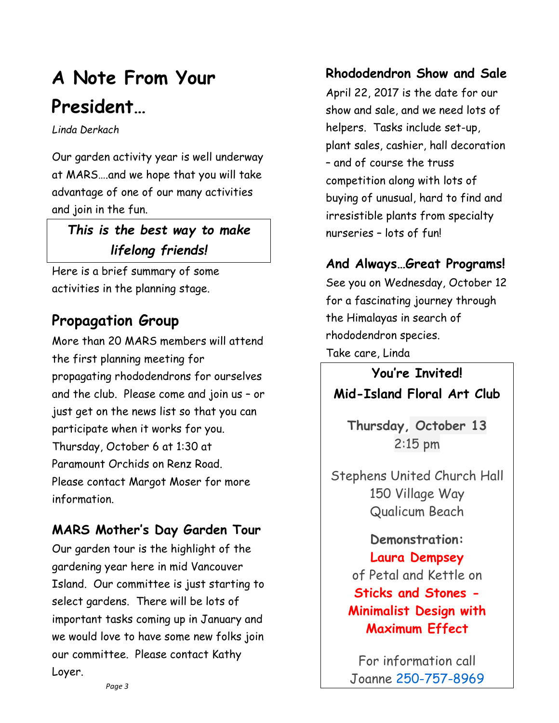## **A Note From Your President…**

*Linda Derkach* 

Our garden activity year is well underway at MARS….and we hope that you will take advantage of one of our many activities and join in the fun.

### *This is the best way to make lifelong friends!*

Here is a brief summary of some activities in the planning stage.

### **Propagation Group**

More than 20 MARS members will attend the first planning meeting for propagating rhododendrons for ourselves and the club. Please come and join us – or just get on the news list so that you can participate when it works for you. Thursday, October 6 at 1:30 at Paramount Orchids on Renz Road. Please contact Margot Moser for more information.

### **MARS Mother's Day Garden Tour**

Our garden tour is the highlight of the gardening year here in mid Vancouver Island. Our committee is just starting to select gardens. There will be lots of important tasks coming up in January and we would love to have some new folks join our committee. Please contact Kathy Loyer.

#### **Rhododendron Show and Sale**

April 22, 2017 is the date for our show and sale, and we need lots of helpers. Tasks include set-up, plant sales, cashier, hall decoration – and of course the truss competition along with lots of buying of unusual, hard to find and irresistible plants from specialty nurseries – lots of fun!

#### **And Always…Great Programs!**

See you on Wednesday, October 12 for a fascinating journey through the Himalayas in search of rhododendron species. Take care, Linda

**You're Invited! Mid-Island Floral Art Club** 

**Thursday, October 13**  2:15 pm

Stephens United Church Hall 150 Village Way Qualicum Beach

> **Demonstration: Laura Dempsey**  of Petal and Kettle on **Sticks and Stones - Minimalist Design with Maximum Effect**

For information call Joanne 250-757-8969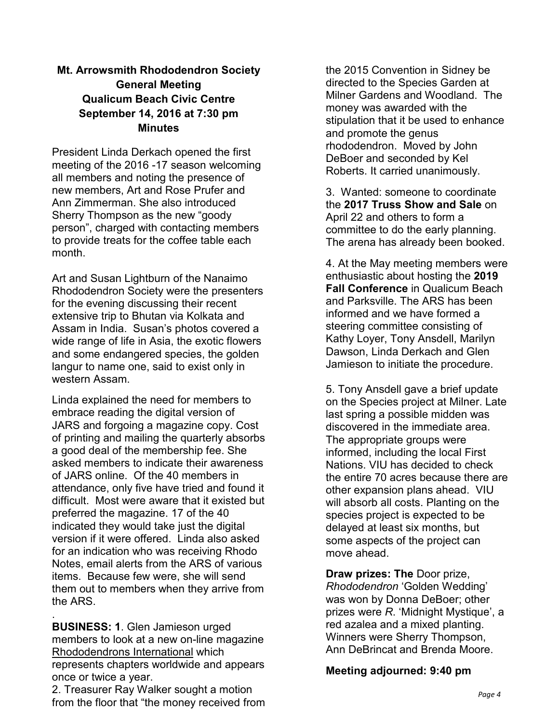#### **Mt. Arrowsmith Rhododendron Society General Meeting Qualicum Beach Civic Centre September 14, 2016 at 7:30 pm Minutes**

President Linda Derkach opened the first meeting of the 2016 -17 season welcoming all members and noting the presence of new members, Art and Rose Prufer and Ann Zimmerman. She also introduced Sherry Thompson as the new "goody person", charged with contacting members to provide treats for the coffee table each month.

Art and Susan Lightburn of the Nanaimo Rhododendron Society were the presenters for the evening discussing their recent extensive trip to Bhutan via Kolkata and Assam in India. Susan's photos covered a wide range of life in Asia, the exotic flowers and some endangered species, the golden langur to name one, said to exist only in western Assam.

Linda explained the need for members to embrace reading the digital version of JARS and forgoing a magazine copy. Cost of printing and mailing the quarterly absorbs a good deal of the membership fee. She asked members to indicate their awareness of JARS online. Of the 40 members in attendance, only five have tried and found it difficult. Most were aware that it existed but preferred the magazine. 17 of the 40 indicated they would take just the digital version if it were offered. Linda also asked for an indication who was receiving Rhodo Notes, email alerts from the ARS of various items. Because few were, she will send them out to members when they arrive from the ARS.

**BUSINESS: 1**. Glen Jamieson urged members to look at a new on-line magazine Rhododendrons International which represents chapters worldwide and appears once or twice a year.

.

2. Treasurer Ray Walker sought a motion from the floor that "the money received from the 2015 Convention in Sidney be directed to the Species Garden at Milner Gardens and Woodland. The money was awarded with the stipulation that it be used to enhance and promote the genus rhododendron. Moved by John DeBoer and seconded by Kel Roberts. It carried unanimously.

3. Wanted: someone to coordinate the **2017 Truss Show and Sale** on April 22 and others to form a committee to do the early planning. The arena has already been booked.

4. At the May meeting members were enthusiastic about hosting the **2019 Fall Conference** in Qualicum Beach and Parksville. The ARS has been informed and we have formed a steering committee consisting of Kathy Loyer, Tony Ansdell, Marilyn Dawson, Linda Derkach and Glen Jamieson to initiate the procedure.

5. Tony Ansdell gave a brief update on the Species project at Milner. Late last spring a possible midden was discovered in the immediate area. The appropriate groups were informed, including the local First Nations. VIU has decided to check the entire 70 acres because there are other expansion plans ahead. VIU will absorb all costs. Planting on the species project is expected to be delayed at least six months, but some aspects of the project can move ahead.

**Draw prizes: The** Door prize, *Rhododendron* 'Golden Wedding' was won by Donna DeBoer; other prizes were *R*. 'Midnight Mystique', a red azalea and a mixed planting. Winners were Sherry Thompson, Ann DeBrincat and Brenda Moore.

**Meeting adjourned: 9:40 pm**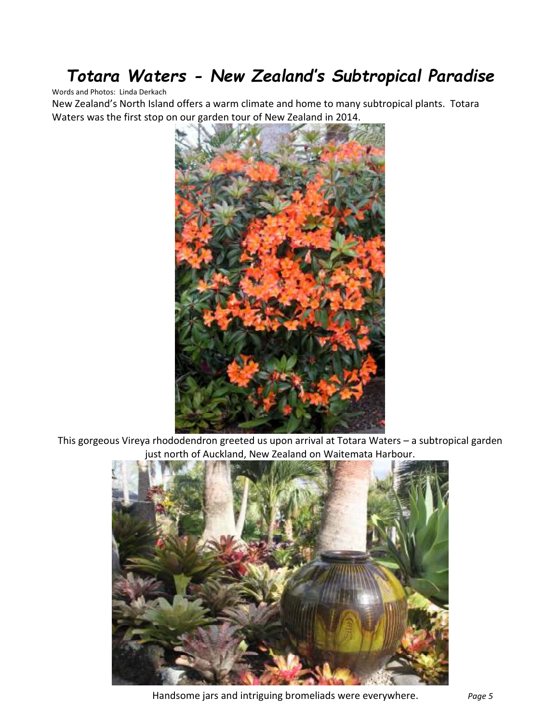## *Totara Waters - New Zealand's Subtropical Paradise*

#### Words and Photos: Linda Derkach

New Zealand's North Island offers a warm climate and home to many subtropical plants. Totara Waters was the first stop on our garden tour of New Zealand in 2014.



This gorgeous Vireya rhododendron greeted us upon arrival at Totara Waters – a subtropical garden just north of Auckland, New Zealand on Waitemata Harbour.



Handsome jars and intriguing bromeliads were everywhere. *Page 5*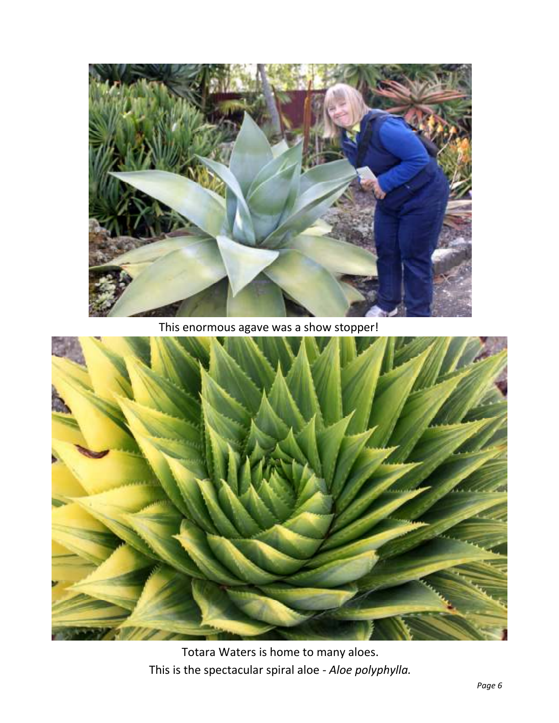

This enormous agave was a show stopper!

![](_page_5_Picture_2.jpeg)

Totara Waters is home to many aloes. This is the spectacular spiral aloe *- Aloe polyphylla.*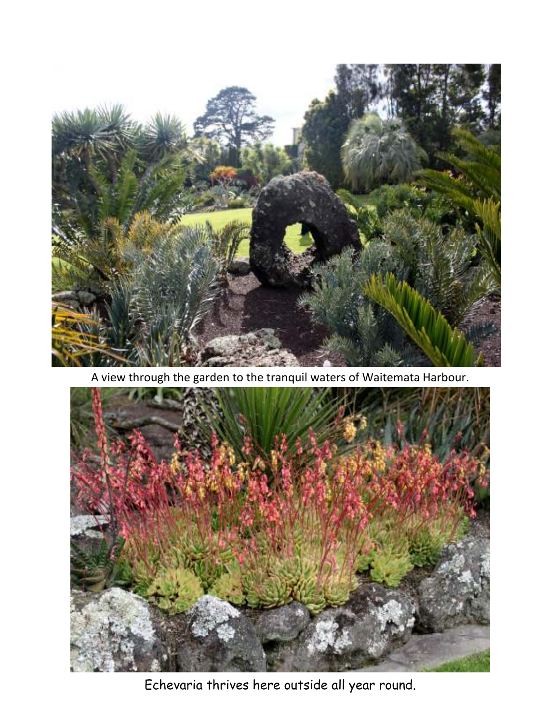![](_page_6_Picture_0.jpeg)

A view through the garden to the tranquil waters of Waitemata Harbour.

![](_page_6_Picture_2.jpeg)

Echevaria thrives here outside all year round.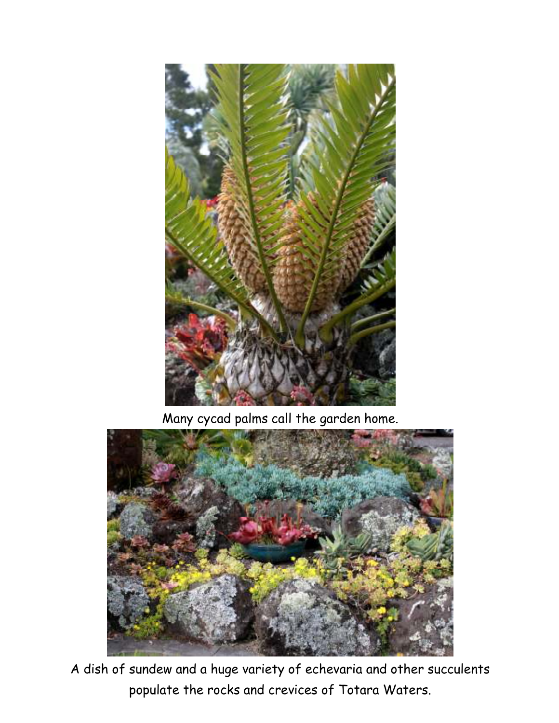![](_page_7_Picture_0.jpeg)

Many cycad palms call the garden home.

![](_page_7_Picture_2.jpeg)

A dish of sundew and a huge variety of echevaria and other succulents populate the rocks and crevices of Totara Waters.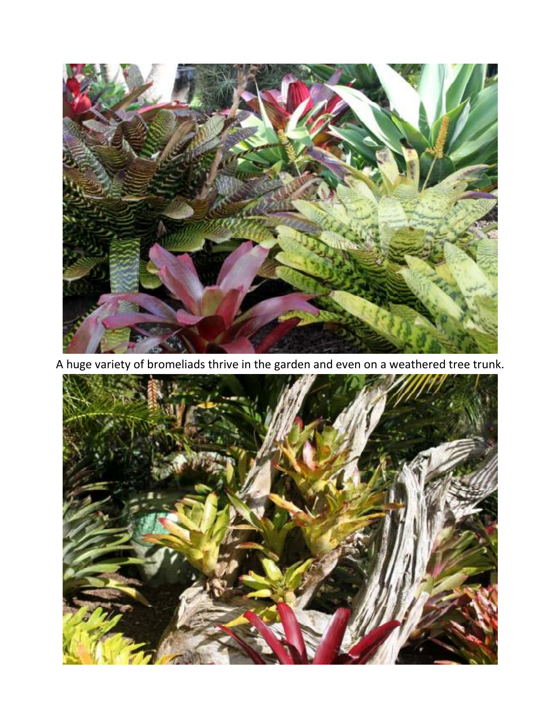![](_page_8_Picture_0.jpeg)

A huge variety of bromeliads thrive in the garden and even on a weathered tree trunk.

![](_page_8_Picture_2.jpeg)